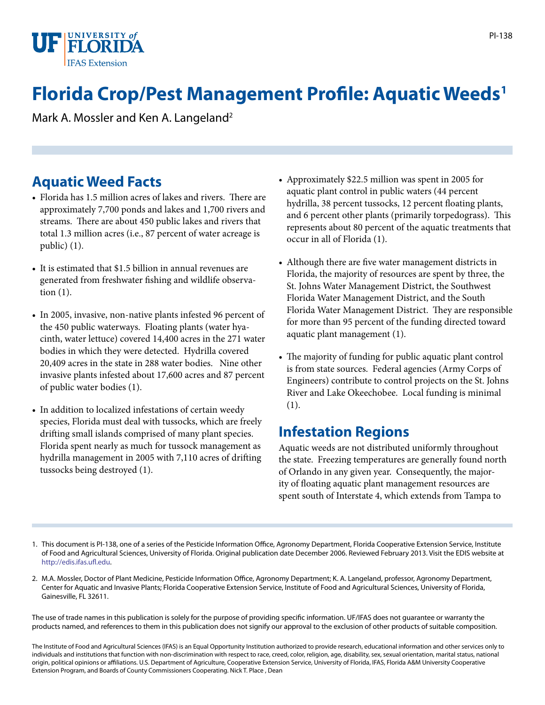

# **Florida Crop/Pest Management Profile: Aquatic Weeds1**

Mark A. Mossler and Ken A. Langeland<sup>2</sup>

# **Aquatic Weed Facts**

- Florida has 1.5 million acres of lakes and rivers. There are approximately 7,700 ponds and lakes and 1,700 rivers and streams. There are about 450 public lakes and rivers that total 1.3 million acres (i.e., 87 percent of water acreage is public) (1).
- It is estimated that \$1.5 billion in annual revenues are generated from freshwater fishing and wildlife observation (1).
- In 2005, invasive, non-native plants infested 96 percent of the 450 public waterways. Floating plants (water hyacinth, water lettuce) covered 14,400 acres in the 271 water bodies in which they were detected. Hydrilla covered 20,409 acres in the state in 288 water bodies. Nine other invasive plants infested about 17,600 acres and 87 percent of public water bodies (1).
- In addition to localized infestations of certain weedy species, Florida must deal with tussocks, which are freely drifting small islands comprised of many plant species. Florida spent nearly as much for tussock management as hydrilla management in 2005 with 7,110 acres of drifting tussocks being destroyed (1).
- Approximately \$22.5 million was spent in 2005 for aquatic plant control in public waters (44 percent hydrilla, 38 percent tussocks, 12 percent floating plants, and 6 percent other plants (primarily torpedograss). This represents about 80 percent of the aquatic treatments that occur in all of Florida (1).
- Although there are five water management districts in Florida, the majority of resources are spent by three, the St. Johns Water Management District, the Southwest Florida Water Management District, and the South Florida Water Management District. They are responsible for more than 95 percent of the funding directed toward aquatic plant management (1).
- The majority of funding for public aquatic plant control is from state sources. Federal agencies (Army Corps of Engineers) contribute to control projects on the St. Johns River and Lake Okeechobee. Local funding is minimal (1).

## **Infestation Regions**

Aquatic weeds are not distributed uniformly throughout the state. Freezing temperatures are generally found north of Orlando in any given year. Consequently, the majority of floating aquatic plant management resources are spent south of Interstate 4, which extends from Tampa to

- 1. This document is PI-138, one of a series of the Pesticide Information Office, Agronomy Department, Florida Cooperative Extension Service, Institute of Food and Agricultural Sciences, University of Florida. Original publication date December 2006. Reviewed February 2013. Visit the EDIS website at [http://edis.ifas.ufl.edu.](http://edis.ifas.ufl.edu)
- 2. M.A. Mossler, Doctor of Plant Medicine, Pesticide Information Office, Agronomy Department; K. A. Langeland, professor, Agronomy Department, Center for Aquatic and Invasive Plants; Florida Cooperative Extension Service, Institute of Food and Agricultural Sciences, University of Florida, Gainesville, FL 32611.

The use of trade names in this publication is solely for the purpose of providing specific information. UF/IFAS does not guarantee or warranty the products named, and references to them in this publication does not signify our approval to the exclusion of other products of suitable composition.

The Institute of Food and Agricultural Sciences (IFAS) is an Equal Opportunity Institution authorized to provide research, educational information and other services only to individuals and institutions that function with non-discrimination with respect to race, creed, color, religion, age, disability, sex, sexual orientation, marital status, national origin, political opinions or affiliations. U.S. Department of Agriculture, Cooperative Extension Service, University of Florida, IFAS, Florida A&M University Cooperative Extension Program, and Boards of County Commissioners Cooperating. Nick T. Place , Dean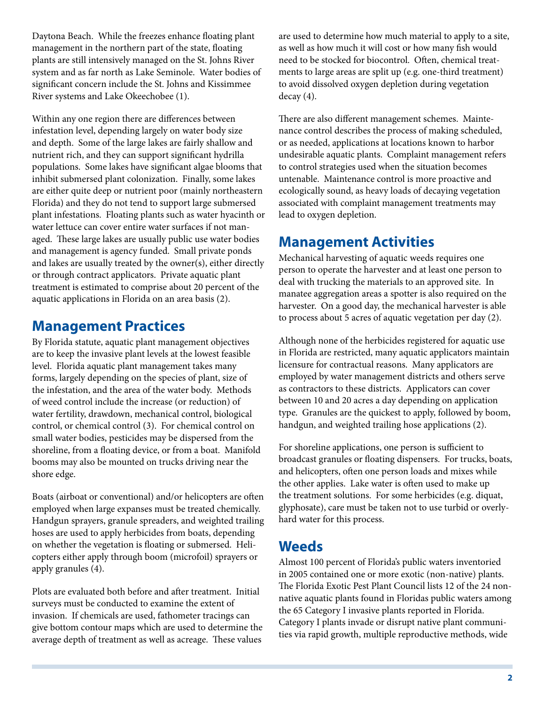Daytona Beach. While the freezes enhance floating plant management in the northern part of the state, floating plants are still intensively managed on the St. Johns River system and as far north as Lake Seminole. Water bodies of significant concern include the St. Johns and Kissimmee River systems and Lake Okeechobee (1).

Within any one region there are differences between infestation level, depending largely on water body size and depth. Some of the large lakes are fairly shallow and nutrient rich, and they can support significant hydrilla populations. Some lakes have significant algae blooms that inhibit submersed plant colonization. Finally, some lakes are either quite deep or nutrient poor (mainly northeastern Florida) and they do not tend to support large submersed plant infestations. Floating plants such as water hyacinth or water lettuce can cover entire water surfaces if not managed. These large lakes are usually public use water bodies and management is agency funded. Small private ponds and lakes are usually treated by the owner(s), either directly or through contract applicators. Private aquatic plant treatment is estimated to comprise about 20 percent of the aquatic applications in Florida on an area basis (2).

## **Management Practices**

By Florida statute, aquatic plant management objectives are to keep the invasive plant levels at the lowest feasible level. Florida aquatic plant management takes many forms, largely depending on the species of plant, size of the infestation, and the area of the water body. Methods of weed control include the increase (or reduction) of water fertility, drawdown, mechanical control, biological control, or chemical control (3). For chemical control on small water bodies, pesticides may be dispersed from the shoreline, from a floating device, or from a boat. Manifold booms may also be mounted on trucks driving near the shore edge.

Boats (airboat or conventional) and/or helicopters are often employed when large expanses must be treated chemically. Handgun sprayers, granule spreaders, and weighted trailing hoses are used to apply herbicides from boats, depending on whether the vegetation is floating or submersed. Helicopters either apply through boom (microfoil) sprayers or apply granules (4).

Plots are evaluated both before and after treatment. Initial surveys must be conducted to examine the extent of invasion. If chemicals are used, fathometer tracings can give bottom contour maps which are used to determine the average depth of treatment as well as acreage. These values

are used to determine how much material to apply to a site, as well as how much it will cost or how many fish would need to be stocked for biocontrol. Often, chemical treatments to large areas are split up (e.g. one-third treatment) to avoid dissolved oxygen depletion during vegetation decay (4).

There are also different management schemes. Maintenance control describes the process of making scheduled, or as needed, applications at locations known to harbor undesirable aquatic plants. Complaint management refers to control strategies used when the situation becomes untenable. Maintenance control is more proactive and ecologically sound, as heavy loads of decaying vegetation associated with complaint management treatments may lead to oxygen depletion.

## **Management Activities**

Mechanical harvesting of aquatic weeds requires one person to operate the harvester and at least one person to deal with trucking the materials to an approved site. In manatee aggregation areas a spotter is also required on the harvester. On a good day, the mechanical harvester is able to process about 5 acres of aquatic vegetation per day (2).

Although none of the herbicides registered for aquatic use in Florida are restricted, many aquatic applicators maintain licensure for contractual reasons. Many applicators are employed by water management districts and others serve as contractors to these districts. Applicators can cover between 10 and 20 acres a day depending on application type. Granules are the quickest to apply, followed by boom, handgun, and weighted trailing hose applications (2).

For shoreline applications, one person is sufficient to broadcast granules or floating dispensers. For trucks, boats, and helicopters, often one person loads and mixes while the other applies. Lake water is often used to make up the treatment solutions. For some herbicides (e.g. diquat, glyphosate), care must be taken not to use turbid or overlyhard water for this process.

#### **Weeds**

Almost 100 percent of Florida's public waters inventoried in 2005 contained one or more exotic (non-native) plants. The Florida Exotic Pest Plant Council lists 12 of the 24 nonnative aquatic plants found in Floridas public waters among the 65 Category I invasive plants reported in Florida. Category I plants invade or disrupt native plant communities via rapid growth, multiple reproductive methods, wide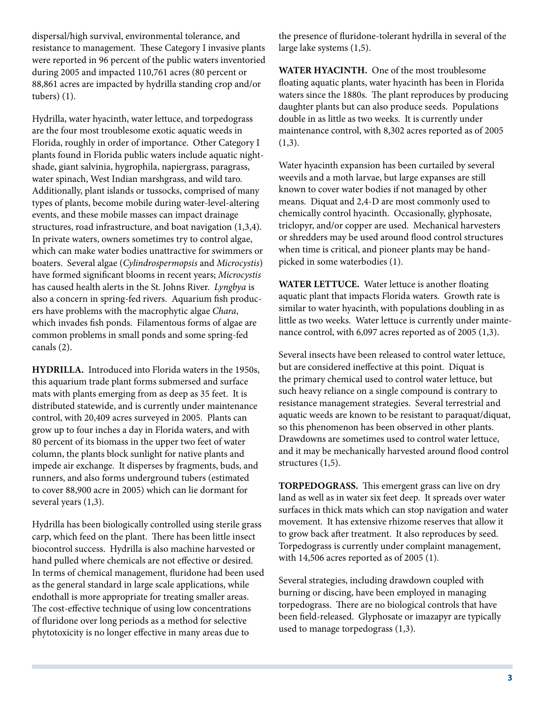dispersal/high survival, environmental tolerance, and resistance to management. These Category I invasive plants were reported in 96 percent of the public waters inventoried during 2005 and impacted 110,761 acres (80 percent or 88,861 acres are impacted by hydrilla standing crop and/or tubers) (1).

Hydrilla, water hyacinth, water lettuce, and torpedograss are the four most troublesome exotic aquatic weeds in Florida, roughly in order of importance. Other Category I plants found in Florida public waters include aquatic nightshade, giant salvinia, hygrophila, napiergrass, paragrass, water spinach, West Indian marshgrass, and wild taro. Additionally, plant islands or tussocks, comprised of many types of plants, become mobile during water-level-altering events, and these mobile masses can impact drainage structures, road infrastructure, and boat navigation (1,3,4). In private waters, owners sometimes try to control algae, which can make water bodies unattractive for swimmers or boaters. Several algae (*Cylindrospermopsis* and *Microcystis*) have formed significant blooms in recent years; *Microcystis* has caused health alerts in the St. Johns River. *Lyngbya* is also a concern in spring-fed rivers. Aquarium fish producers have problems with the macrophytic algae *Chara*, which invades fish ponds. Filamentous forms of algae are common problems in small ponds and some spring-fed canals (2).

**HYDRILLA.** Introduced into Florida waters in the 1950s, this aquarium trade plant forms submersed and surface mats with plants emerging from as deep as 35 feet. It is distributed statewide, and is currently under maintenance control, with 20,409 acres surveyed in 2005. Plants can grow up to four inches a day in Florida waters, and with 80 percent of its biomass in the upper two feet of water column, the plants block sunlight for native plants and impede air exchange. It disperses by fragments, buds, and runners, and also forms underground tubers (estimated to cover 88,900 acre in 2005) which can lie dormant for several years (1,3).

Hydrilla has been biologically controlled using sterile grass carp, which feed on the plant. There has been little insect biocontrol success. Hydrilla is also machine harvested or hand pulled where chemicals are not effective or desired. In terms of chemical management, fluridone had been used as the general standard in large scale applications, while endothall is more appropriate for treating smaller areas. The cost-effective technique of using low concentrations of fluridone over long periods as a method for selective phytotoxicity is no longer effective in many areas due to

the presence of fluridone-tolerant hydrilla in several of the large lake systems (1,5).

**WATER HYACINTH.** One of the most troublesome floating aquatic plants, water hyacinth has been in Florida waters since the 1880s. The plant reproduces by producing daughter plants but can also produce seeds. Populations double in as little as two weeks. It is currently under maintenance control, with 8,302 acres reported as of 2005  $(1,3)$ .

Water hyacinth expansion has been curtailed by several weevils and a moth larvae, but large expanses are still known to cover water bodies if not managed by other means. Diquat and 2,4-D are most commonly used to chemically control hyacinth. Occasionally, glyphosate, triclopyr, and/or copper are used. Mechanical harvesters or shredders may be used around flood control structures when time is critical, and pioneer plants may be handpicked in some waterbodies (1).

**WATER LETTUCE.** Water lettuce is another floating aquatic plant that impacts Florida waters. Growth rate is similar to water hyacinth, with populations doubling in as little as two weeks. Water lettuce is currently under maintenance control, with 6,097 acres reported as of 2005 (1,3).

Several insects have been released to control water lettuce, but are considered ineffective at this point. Diquat is the primary chemical used to control water lettuce, but such heavy reliance on a single compound is contrary to resistance management strategies. Several terrestrial and aquatic weeds are known to be resistant to paraquat/diquat, so this phenomenon has been observed in other plants. Drawdowns are sometimes used to control water lettuce, and it may be mechanically harvested around flood control structures (1,5).

**TORPEDOGRASS.** This emergent grass can live on dry land as well as in water six feet deep. It spreads over water surfaces in thick mats which can stop navigation and water movement. It has extensive rhizome reserves that allow it to grow back after treatment. It also reproduces by seed. Torpedograss is currently under complaint management, with 14,506 acres reported as of 2005 (1).

Several strategies, including drawdown coupled with burning or discing, have been employed in managing torpedograss. There are no biological controls that have been field-released. Glyphosate or imazapyr are typically used to manage torpedograss (1,3).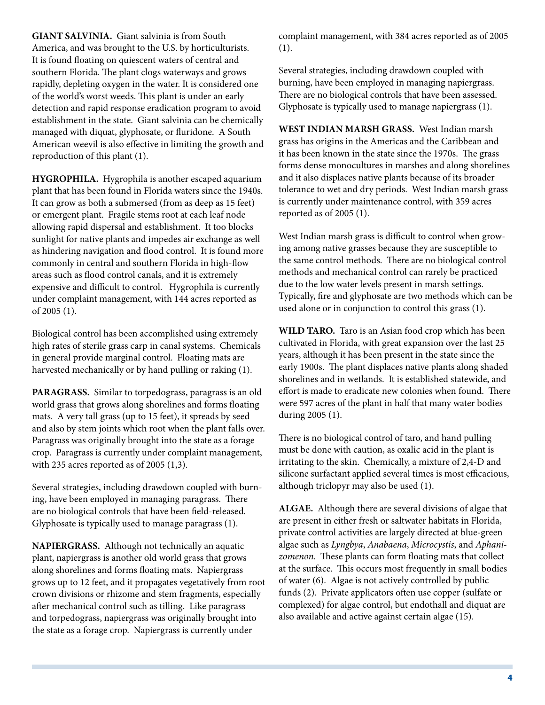**GIANT SALVINIA.** Giant salvinia is from South America, and was brought to the U.S. by horticulturists. It is found floating on quiescent waters of central and southern Florida. The plant clogs waterways and grows rapidly, depleting oxygen in the water. It is considered one of the world's worst weeds. This plant is under an early detection and rapid response eradication program to avoid establishment in the state. Giant salvinia can be chemically managed with diquat, glyphosate, or fluridone. A South American weevil is also effective in limiting the growth and reproduction of this plant (1).

**HYGROPHILA.** Hygrophila is another escaped aquarium plant that has been found in Florida waters since the 1940s. It can grow as both a submersed (from as deep as 15 feet) or emergent plant. Fragile stems root at each leaf node allowing rapid dispersal and establishment. It too blocks sunlight for native plants and impedes air exchange as well as hindering navigation and flood control. It is found more commonly in central and southern Florida in high-flow areas such as flood control canals, and it is extremely expensive and difficult to control. Hygrophila is currently under complaint management, with 144 acres reported as of 2005 (1).

Biological control has been accomplished using extremely high rates of sterile grass carp in canal systems. Chemicals in general provide marginal control. Floating mats are harvested mechanically or by hand pulling or raking (1).

**PARAGRASS.** Similar to torpedograss, paragrass is an old world grass that grows along shorelines and forms floating mats. A very tall grass (up to 15 feet), it spreads by seed and also by stem joints which root when the plant falls over. Paragrass was originally brought into the state as a forage crop. Paragrass is currently under complaint management, with 235 acres reported as of 2005 (1,3).

Several strategies, including drawdown coupled with burning, have been employed in managing paragrass. There are no biological controls that have been field-released. Glyphosate is typically used to manage paragrass (1).

**NAPIERGRASS.** Although not technically an aquatic plant, napiergrass is another old world grass that grows along shorelines and forms floating mats. Napiergrass grows up to 12 feet, and it propagates vegetatively from root crown divisions or rhizome and stem fragments, especially after mechanical control such as tilling. Like paragrass and torpedograss, napiergrass was originally brought into the state as a forage crop. Napiergrass is currently under

complaint management, with 384 acres reported as of 2005 (1).

Several strategies, including drawdown coupled with burning, have been employed in managing napiergrass. There are no biological controls that have been assessed. Glyphosate is typically used to manage napiergrass (1).

**WEST INDIAN MARSH GRASS.** West Indian marsh grass has origins in the Americas and the Caribbean and it has been known in the state since the 1970s. The grass forms dense monocultures in marshes and along shorelines and it also displaces native plants because of its broader tolerance to wet and dry periods. West Indian marsh grass is currently under maintenance control, with 359 acres reported as of 2005 (1).

West Indian marsh grass is difficult to control when growing among native grasses because they are susceptible to the same control methods. There are no biological control methods and mechanical control can rarely be practiced due to the low water levels present in marsh settings. Typically, fire and glyphosate are two methods which can be used alone or in conjunction to control this grass (1).

**WILD TARO.** Taro is an Asian food crop which has been cultivated in Florida, with great expansion over the last 25 years, although it has been present in the state since the early 1900s. The plant displaces native plants along shaded shorelines and in wetlands. It is established statewide, and effort is made to eradicate new colonies when found. There were 597 acres of the plant in half that many water bodies during 2005 (1).

There is no biological control of taro, and hand pulling must be done with caution, as oxalic acid in the plant is irritating to the skin. Chemically, a mixture of 2,4-D and silicone surfactant applied several times is most efficacious, although triclopyr may also be used (1).

**ALGAE.** Although there are several divisions of algae that are present in either fresh or saltwater habitats in Florida, private control activities are largely directed at blue-green algae such as *Lyngbya*, *Anabaena*, *Microcystis*, and *Aphanizomenon*. These plants can form floating mats that collect at the surface. This occurs most frequently in small bodies of water (6). Algae is not actively controlled by public funds (2). Private applicators often use copper (sulfate or complexed) for algae control, but endothall and diquat are also available and active against certain algae (15).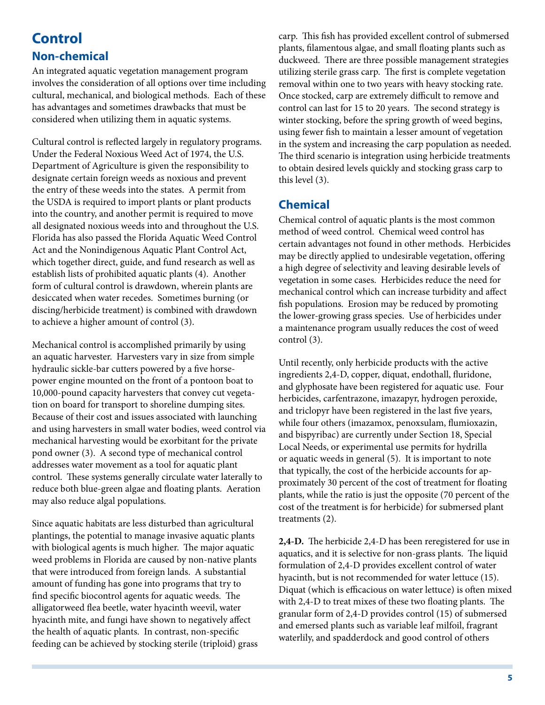## **Control Non-chemical**

An integrated aquatic vegetation management program involves the consideration of all options over time including cultural, mechanical, and biological methods. Each of these has advantages and sometimes drawbacks that must be considered when utilizing them in aquatic systems.

Cultural control is reflected largely in regulatory programs. Under the Federal Noxious Weed Act of 1974, the U.S. Department of Agriculture is given the responsibility to designate certain foreign weeds as noxious and prevent the entry of these weeds into the states. A permit from the USDA is required to import plants or plant products into the country, and another permit is required to move all designated noxious weeds into and throughout the U.S. Florida has also passed the Florida Aquatic Weed Control Act and the Nonindigenous Aquatic Plant Control Act, which together direct, guide, and fund research as well as establish lists of prohibited aquatic plants (4). Another form of cultural control is drawdown, wherein plants are desiccated when water recedes. Sometimes burning (or discing/herbicide treatment) is combined with drawdown to achieve a higher amount of control (3).

Mechanical control is accomplished primarily by using an aquatic harvester. Harvesters vary in size from simple hydraulic sickle-bar cutters powered by a five horsepower engine mounted on the front of a pontoon boat to 10,000-pound capacity harvesters that convey cut vegetation on board for transport to shoreline dumping sites. Because of their cost and issues associated with launching and using harvesters in small water bodies, weed control via mechanical harvesting would be exorbitant for the private pond owner (3). A second type of mechanical control addresses water movement as a tool for aquatic plant control. These systems generally circulate water laterally to reduce both blue-green algae and floating plants. Aeration may also reduce algal populations.

Since aquatic habitats are less disturbed than agricultural plantings, the potential to manage invasive aquatic plants with biological agents is much higher. The major aquatic weed problems in Florida are caused by non-native plants that were introduced from foreign lands. A substantial amount of funding has gone into programs that try to find specific biocontrol agents for aquatic weeds. The alligatorweed flea beetle, water hyacinth weevil, water hyacinth mite, and fungi have shown to negatively affect the health of aquatic plants. In contrast, non-specific feeding can be achieved by stocking sterile (triploid) grass carp. This fish has provided excellent control of submersed plants, filamentous algae, and small floating plants such as duckweed. There are three possible management strategies utilizing sterile grass carp. The first is complete vegetation removal within one to two years with heavy stocking rate. Once stocked, carp are extremely difficult to remove and control can last for 15 to 20 years. The second strategy is winter stocking, before the spring growth of weed begins, using fewer fish to maintain a lesser amount of vegetation in the system and increasing the carp population as needed. The third scenario is integration using herbicide treatments to obtain desired levels quickly and stocking grass carp to this level (3).

#### **Chemical**

Chemical control of aquatic plants is the most common method of weed control. Chemical weed control has certain advantages not found in other methods. Herbicides may be directly applied to undesirable vegetation, offering a high degree of selectivity and leaving desirable levels of vegetation in some cases. Herbicides reduce the need for mechanical control which can increase turbidity and affect fish populations. Erosion may be reduced by promoting the lower-growing grass species. Use of herbicides under a maintenance program usually reduces the cost of weed control (3).

Until recently, only herbicide products with the active ingredients 2,4-D, copper, diquat, endothall, fluridone, and glyphosate have been registered for aquatic use. Four herbicides, carfentrazone, imazapyr, hydrogen peroxide, and triclopyr have been registered in the last five years, while four others (imazamox, penoxsulam, flumioxazin, and bispyribac) are currently under Section 18, Special Local Needs, or experimental use permits for hydrilla or aquatic weeds in general (5). It is important to note that typically, the cost of the herbicide accounts for approximately 30 percent of the cost of treatment for floating plants, while the ratio is just the opposite (70 percent of the cost of the treatment is for herbicide) for submersed plant treatments (2).

**2,4-D.** The herbicide 2,4-D has been reregistered for use in aquatics, and it is selective for non-grass plants. The liquid formulation of 2,4-D provides excellent control of water hyacinth, but is not recommended for water lettuce (15). Diquat (which is efficacious on water lettuce) is often mixed with 2,4-D to treat mixes of these two floating plants. The granular form of 2,4-D provides control (15) of submersed and emersed plants such as variable leaf milfoil, fragrant waterlily, and spadderdock and good control of others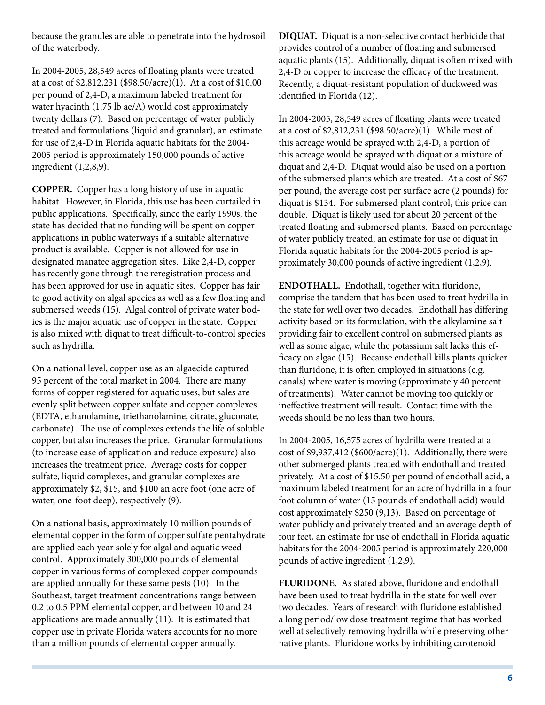because the granules are able to penetrate into the hydrosoil of the waterbody.

In 2004-2005, 28,549 acres of floating plants were treated at a cost of \$2,812,231 (\$98.50/acre)(1). At a cost of \$10.00 per pound of 2,4-D, a maximum labeled treatment for water hyacinth (1.75 lb ae/A) would cost approximately twenty dollars (7). Based on percentage of water publicly treated and formulations (liquid and granular), an estimate for use of 2,4-D in Florida aquatic habitats for the 2004- 2005 period is approximately 150,000 pounds of active ingredient (1,2,8,9).

**COPPER.** Copper has a long history of use in aquatic habitat. However, in Florida, this use has been curtailed in public applications. Specifically, since the early 1990s, the state has decided that no funding will be spent on copper applications in public waterways if a suitable alternative product is available. Copper is not allowed for use in designated manatee aggregation sites. Like 2,4-D, copper has recently gone through the reregistration process and has been approved for use in aquatic sites. Copper has fair to good activity on algal species as well as a few floating and submersed weeds (15). Algal control of private water bodies is the major aquatic use of copper in the state. Copper is also mixed with diquat to treat difficult-to-control species such as hydrilla.

On a national level, copper use as an algaecide captured 95 percent of the total market in 2004. There are many forms of copper registered for aquatic uses, but sales are evenly split between copper sulfate and copper complexes (EDTA, ethanolamine, triethanolamine, citrate, gluconate, carbonate). The use of complexes extends the life of soluble copper, but also increases the price. Granular formulations (to increase ease of application and reduce exposure) also increases the treatment price. Average costs for copper sulfate, liquid complexes, and granular complexes are approximately \$2, \$15, and \$100 an acre foot (one acre of water, one-foot deep), respectively (9).

On a national basis, approximately 10 million pounds of elemental copper in the form of copper sulfate pentahydrate are applied each year solely for algal and aquatic weed control. Approximately 300,000 pounds of elemental copper in various forms of complexed copper compounds are applied annually for these same pests (10). In the Southeast, target treatment concentrations range between 0.2 to 0.5 PPM elemental copper, and between 10 and 24 applications are made annually (11). It is estimated that copper use in private Florida waters accounts for no more than a million pounds of elemental copper annually.

**DIQUAT.** Diquat is a non-selective contact herbicide that provides control of a number of floating and submersed aquatic plants (15). Additionally, diquat is often mixed with 2,4-D or copper to increase the efficacy of the treatment. Recently, a diquat-resistant population of duckweed was identified in Florida (12).

In 2004-2005, 28,549 acres of floating plants were treated at a cost of \$2,812,231 (\$98.50/acre)(1). While most of this acreage would be sprayed with 2,4-D, a portion of this acreage would be sprayed with diquat or a mixture of diquat and 2,4-D. Diquat would also be used on a portion of the submersed plants which are treated. At a cost of \$67 per pound, the average cost per surface acre (2 pounds) for diquat is \$134. For submersed plant control, this price can double. Diquat is likely used for about 20 percent of the treated floating and submersed plants. Based on percentage of water publicly treated, an estimate for use of diquat in Florida aquatic habitats for the 2004-2005 period is approximately 30,000 pounds of active ingredient (1,2,9).

**ENDOTHALL.** Endothall, together with fluridone, comprise the tandem that has been used to treat hydrilla in the state for well over two decades. Endothall has differing activity based on its formulation, with the alkylamine salt providing fair to excellent control on submersed plants as well as some algae, while the potassium salt lacks this efficacy on algae (15). Because endothall kills plants quicker than fluridone, it is often employed in situations (e.g. canals) where water is moving (approximately 40 percent of treatments). Water cannot be moving too quickly or ineffective treatment will result. Contact time with the weeds should be no less than two hours.

In 2004-2005, 16,575 acres of hydrilla were treated at a cost of \$9,937,412 (\$600/acre)(1). Additionally, there were other submerged plants treated with endothall and treated privately. At a cost of \$15.50 per pound of endothall acid, a maximum labeled treatment for an acre of hydrilla in a four foot column of water (15 pounds of endothall acid) would cost approximately \$250 (9,13). Based on percentage of water publicly and privately treated and an average depth of four feet, an estimate for use of endothall in Florida aquatic habitats for the 2004-2005 period is approximately 220,000 pounds of active ingredient (1,2,9).

**FLURIDONE.** As stated above, fluridone and endothall have been used to treat hydrilla in the state for well over two decades. Years of research with fluridone established a long period/low dose treatment regime that has worked well at selectively removing hydrilla while preserving other native plants. Fluridone works by inhibiting carotenoid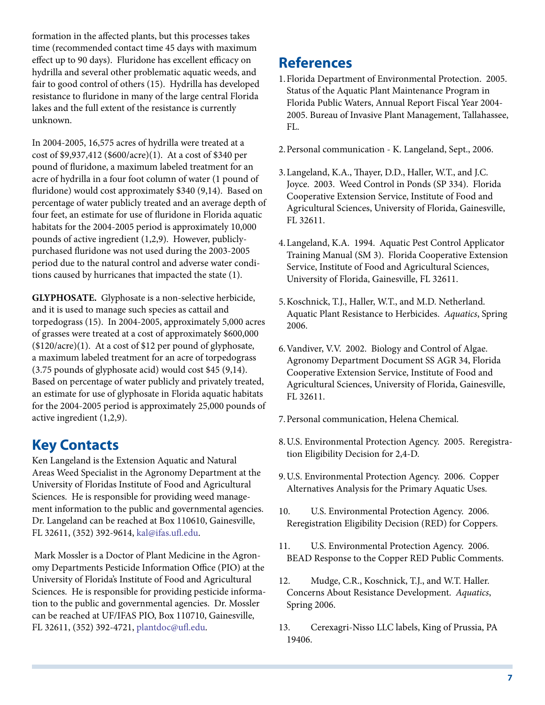formation in the affected plants, but this processes takes time (recommended contact time 45 days with maximum effect up to 90 days). Fluridone has excellent efficacy on hydrilla and several other problematic aquatic weeds, and fair to good control of others (15). Hydrilla has developed resistance to fluridone in many of the large central Florida lakes and the full extent of the resistance is currently unknown.

In 2004-2005, 16,575 acres of hydrilla were treated at a cost of \$9,937,412 (\$600/acre)(1). At a cost of \$340 per pound of fluridone, a maximum labeled treatment for an acre of hydrilla in a four foot column of water (1 pound of fluridone) would cost approximately \$340 (9,14). Based on percentage of water publicly treated and an average depth of four feet, an estimate for use of fluridone in Florida aquatic habitats for the 2004-2005 period is approximately 10,000 pounds of active ingredient (1,2,9). However, publiclypurchased fluridone was not used during the 2003-2005 period due to the natural control and adverse water conditions caused by hurricanes that impacted the state (1).

**GLYPHOSATE.** Glyphosate is a non-selective herbicide, and it is used to manage such species as cattail and torpedograss (15). In 2004-2005, approximately 5,000 acres of grasses were treated at a cost of approximately \$600,000 (\$120/acre)(1). At a cost of \$12 per pound of glyphosate, a maximum labeled treatment for an acre of torpedograss (3.75 pounds of glyphosate acid) would cost \$45 (9,14). Based on percentage of water publicly and privately treated, an estimate for use of glyphosate in Florida aquatic habitats for the 2004-2005 period is approximately 25,000 pounds of active ingredient (1,2,9).

# **Key Contacts**

Ken Langeland is the Extension Aquatic and Natural Areas Weed Specialist in the Agronomy Department at the University of Floridas Institute of Food and Agricultural Sciences. He is responsible for providing weed management information to the public and governmental agencies. Dr. Langeland can be reached at Box 110610, Gainesville, FL 32611, (352) 392-9614, [kal@ifas.ufl.edu.](mailto:kal@ifas.ufl.edu)

Mark Mossler is a Doctor of Plant Medicine in the Agronomy Departments Pesticide Information Office (PIO) at the University of Florida's Institute of Food and Agricultural Sciences. He is responsible for providing pesticide information to the public and governmental agencies. Dr. Mossler can be reached at UF/IFAS PIO, Box 110710, Gainesville, FL 32611, (352) 392-4721, [plantdoc@ufl.edu.](mailto:plantdoc@ufl.edu)

# **References**

- 1. Florida Department of Environmental Protection. 2005. Status of the Aquatic Plant Maintenance Program in Florida Public Waters, Annual Report Fiscal Year 2004- 2005. Bureau of Invasive Plant Management, Tallahassee, FL.
- 2. Personal communication K. Langeland, Sept., 2006.
- 3. Langeland, K.A., Thayer, D.D., Haller, W.T., and J.C. Joyce. 2003. Weed Control in Ponds (SP 334). Florida Cooperative Extension Service, Institute of Food and Agricultural Sciences, University of Florida, Gainesville, FL 32611.
- 4. Langeland, K.A. 1994. Aquatic Pest Control Applicator Training Manual (SM 3). Florida Cooperative Extension Service, Institute of Food and Agricultural Sciences, University of Florida, Gainesville, FL 32611.
- 5. Koschnick, T.J., Haller, W.T., and M.D. Netherland. Aquatic Plant Resistance to Herbicides. *Aquatics*, Spring 2006.
- 6. Vandiver, V.V. 2002. Biology and Control of Algae. Agronomy Department Document SS AGR 34, Florida Cooperative Extension Service, Institute of Food and Agricultural Sciences, University of Florida, Gainesville, FL 32611.
- 7. Personal communication, Helena Chemical.
- 8. U.S. Environmental Protection Agency. 2005. Reregistration Eligibility Decision for 2,4-D.
- 9. U.S. Environmental Protection Agency. 2006. Copper Alternatives Analysis for the Primary Aquatic Uses.
- 10. U.S. Environmental Protection Agency. 2006. Reregistration Eligibility Decision (RED) for Coppers.
- 11. U.S. Environmental Protection Agency. 2006. BEAD Response to the Copper RED Public Comments.
- 12. Mudge, C.R., Koschnick, T.J., and W.T. Haller. Concerns About Resistance Development. *Aquatics*, Spring 2006.
- 13. Cerexagri-Nisso LLC labels, King of Prussia, PA 19406.